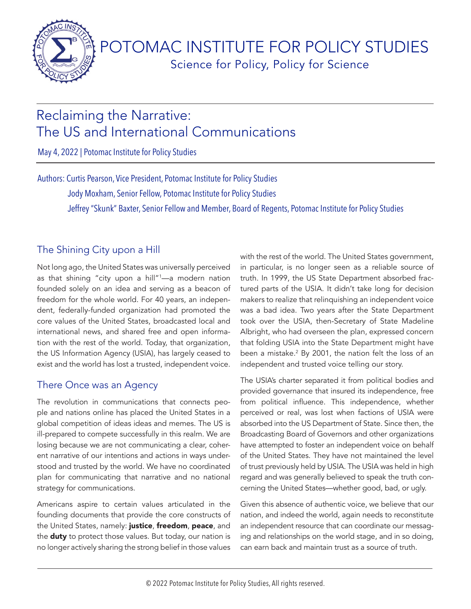<span id="page-0-0"></span>

POTOMAC INSTITUTE FOR POLICY STUDIES Science for Policy, Policy for Science

# Reclaiming the Narrative: The US and International Communications

May 4, 2022 | Potomac Institute for Policy Studies

Authors: Curtis Pearson, Vice President, Potomac Institute for Policy Studies Jody Moxham, Senior Fellow, Potomac Institute for Policy Studies Jeffrey "Skunk" Baxter, Senior Fellow and Member, Board of Regents, Potomac Institute for Policy Studies

# The Shining City upon a Hill

Not long ago, the United States was universally perceived as that shining "city upon a hill"[1](#page-6-0) —a modern nation founded solely on an idea and serving as a beacon of freedom for the whole world. For 40 years, an independent, federally-funded organization had promoted the core values of the United States, broadcasted local and international news, and shared free and open information with the rest of the world. Today, that organization, the US Information Agency (USIA), has largely ceased to exist and the world has lost a trusted, independent voice.

# There Once was an Agency

The revolution in communications that connects people and nations online has placed the United States in a global competition of ideas ideas and memes. The US is ill-prepared to compete successfully in this realm. We are losing because we are not communicating a clear, coherent narrative of our intentions and actions in ways understood and trusted by the world. We have no coordinated plan for communicating that narrative and no national strategy for communications.

Americans aspire to certain values articulated in the founding documents that provide the core constructs of the United States, namely: justice, freedom, peace, and the **duty** to protect those values. But today, our nation is no longer actively sharing the strong belief in those values

with the rest of the world. The United States government, in particular, is no longer seen as a reliable source of truth. In 1999, the US State Department absorbed fractured parts of the USIA. It didn't take long for decision makers to realize that relinquishing an independent voice was a bad idea. Two years after the State Department took over the USIA, then-Secretary of State Madeline Albright, who had overseen the plan, expressed concern that folding USIA into the State Department might have been a mistake.<sup>[2](#page-6-0)</sup> By 2001, the nation felt the loss of an independent and trusted voice telling our story.

The USIA's charter separated it from political bodies and provided governance that insured its independence, free from political influence. This independence, whether perceived or real, was lost when factions of USIA were absorbed into the US Department of State. Since then, the Broadcasting Board of Governors and other organizations have attempted to foster an independent voice on behalf of the United States. They have not maintained the level of trust previously held by USIA. The USIA was held in high regard and was generally believed to speak the truth concerning the United States—whether good, bad, or ugly.

Given this absence of authentic voice, we believe that our nation, and indeed the world, again needs to reconstitute an independent resource that can coordinate our messaging and relationships on the world stage, and in so doing, can earn back and maintain trust as a source of truth.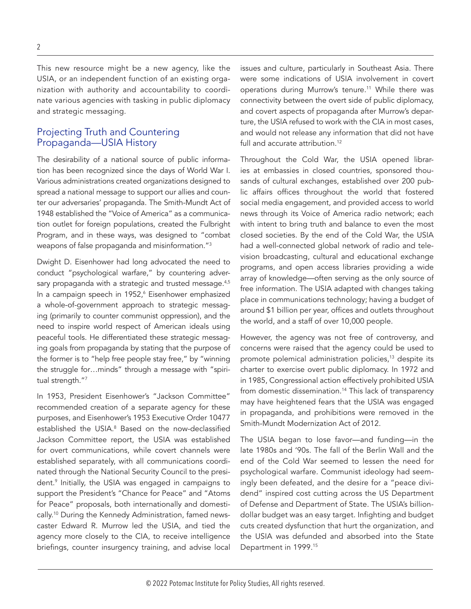<span id="page-1-0"></span>This new resource might be a new agency, like the USIA, or an independent function of an existing organization with authority and accountability to coordinate various agencies with tasking in public diplomacy and strategic messaging.

#### Projecting Truth and Countering Propaganda—USIA History

The desirability of a national source of public information has been recognized since the days of World War I. Various administrations created organizations designed to spread a national message to support our allies and counter our adversaries' propaganda. The Smith-Mundt Act of 1948 established the "Voice of America" as a communication outlet for foreign populations, created the Fulbright Program, and in these ways, was designed to "combat weapons of false propaganda and misinformation.["3](#page-6-0)

Dwight D. Eisenhower had long advocated the need to conduct "psychological warfare," by countering adver-sary propaganda with a strategic and trusted message.<sup>[4,5](#page-6-0)</sup> In a campaign speech in 1952,<sup>6</sup> Eisenhower emphasized a whole-of-government approach to strategic messaging (primarily to counter communist oppression), and the need to inspire world respect of American ideals using peaceful tools. He differentiated these strategic messaging goals from propaganda by stating that the purpose of the former is to "help free people stay free," by "winning the struggle for…minds" through a message with "spiri-tual strength."[7](#page-6-0)

In 1953, President Eisenhower's "Jackson Committee" recommended creation of a separate agency for these purposes, and Eisenhower's 1953 Executive Order 10477 established the USIA.<sup>8</sup> Based on the now-declassified Jackson Committee report, the USIA was established for overt communications, while covert channels were established separately, with all communications coordinated through the National Security Council to the president[.9](#page-7-0) Initially, the USIA was engaged in campaigns to support the President's "Chance for Peace" and "Atoms for Peace" proposals, both internationally and domestically[.10](#page-7-0) During the Kennedy Administration, famed newscaster Edward R. Murrow led the USIA, and tied the agency more closely to the CIA, to receive intelligence briefings, counter insurgency training, and advise local

issues and culture, particularly in Southeast Asia. There were some indications of USIA involvement in covert operations during Murrow's tenure[.11](#page-7-0) While there was connectivity between the overt side of public diplomacy, and covert aspects of propaganda after Murrow's departure, the USIA refused to work with the CIA in most cases, and would not release any information that did not have full and accurate attribution.<sup>12</sup>

Throughout the Cold War, the USIA opened libraries at embassies in closed countries, sponsored thousands of cultural exchanges, established over 200 public affairs offices throughout the world that fostered social media engagement, and provided access to world news through its Voice of America radio network; each with intent to bring truth and balance to even the most closed societies. By the end of the Cold War, the USIA had a well-connected global network of radio and television broadcasting, cultural and educational exchange programs, and open access libraries providing a wide array of knowledge—often serving as the only source of free information. The USIA adapted with changes taking place in communications technology; having a budget of around \$1 billion per year, offices and outlets throughout the world, and a staff of over 10,000 people.

However, the agency was not free of controversy, and concerns were raised that the agency could be used to promote polemical administration policies,<sup>13</sup> despite its charter to exercise overt public diplomacy. In 1972 and in 1985, Congressional action effectively prohibited USIA from domestic dissemination.<sup>14</sup> This lack of transparency may have heightened fears that the USIA was engaged in propaganda, and prohibitions were removed in the Smith-Mundt Modernization Act of 2012.

The USIA began to lose favor—and funding—in the late 1980s and '90s. The fall of the Berlin Wall and the end of the Cold War seemed to lessen the need for psychological warfare. Communist ideology had seemingly been defeated, and the desire for a "peace dividend" inspired cost cutting across the US Department of Defense and Department of State. The USIA's billiondollar budget was an easy target. Infighting and budget cuts created dysfunction that hurt the organization, and the USIA was defunded and absorbed into the State Department in 1999.[15](#page-7-0)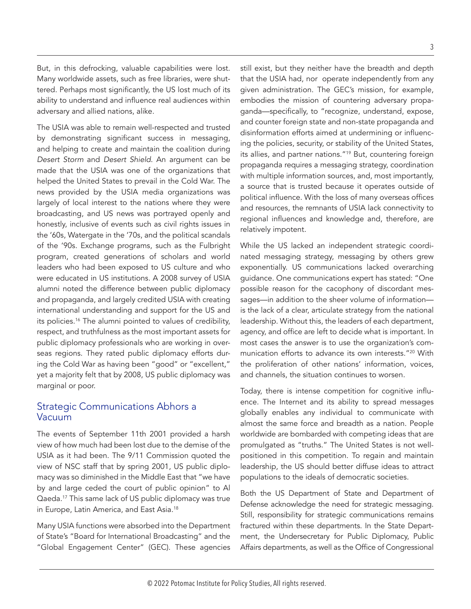<span id="page-2-0"></span>But, in this defrocking, valuable capabilities were lost. Many worldwide assets, such as free libraries, were shuttered. Perhaps most significantly, the US lost much of its ability to understand and influence real audiences within adversary and allied nations, alike.

The USIA was able to remain well-respected and trusted by demonstrating significant success in messaging, and helping to create and maintain the coalition during *Desert Storm* and *Desert Shield*. An argument can be made that the USIA was one of the organizations that helped the United States to prevail in the Cold War. The news provided by the USIA media organizations was largely of local interest to the nations where they were broadcasting, and US news was portrayed openly and honestly, inclusive of events such as civil rights issues in the '60s, Watergate in the '70s, and the political scandals of the '90s. Exchange programs, such as the Fulbright program, created generations of scholars and world leaders who had been exposed to US culture and who were educated in US institutions. A 2008 survey of USIA alumni noted the difference between public diplomacy and propaganda, and largely credited USIA with creating international understanding and support for the US and its policies.<sup>[16](#page-7-0)</sup> The alumni pointed to values of credibility, respect, and truthfulness as the most important assets for public diplomacy professionals who are working in overseas regions. They rated public diplomacy efforts during the Cold War as having been "good" or "excellent," yet a majority felt that by 2008, US public diplomacy was marginal or poor.

#### Strategic Communications Abhors a Vacuum

The events of September 11th 2001 provided a harsh view of how much had been lost due to the demise of the USIA as it had been. The 9/11 Commission quoted the view of NSC staff that by spring 2001, US public diplomacy was so diminished in the Middle East that "we have by and large ceded the court of public opinion" to Al Qaeda[.17](#page-7-0) This same lack of US public diplomacy was true in Europe, Latin America, and East Asia.[18](#page-7-0)

Many USIA functions were absorbed into the Department of State's "Board for International Broadcasting" and the "Global Engagement Center" (GEC). These agencies still exist, but they neither have the breadth and depth that the USIA had, nor operate independently from any given administration. The GEC's mission, for example, embodies the mission of countering adversary propaganda—specifically, to "recognize, understand, expose, and counter foreign state and non-state propaganda and disinformation efforts aimed at undermining or influencing the policies, security, or stability of the United States, its allies, and partner nations."<sup>[19](#page-7-0)</sup> But, countering foreign propaganda requires a messaging strategy, coordination with multiple information sources, and, most importantly, a source that is trusted because it operates outside of political influence. With the loss of many overseas offices and resources, the remnants of USIA lack connectivity to regional influences and knowledge and, therefore, are relatively impotent.

While the US lacked an independent strategic coordinated messaging strategy, messaging by others grew exponentially. US communications lacked overarching guidance. One communications expert has stated: "One possible reason for the cacophony of discordant messages—in addition to the sheer volume of information is the lack of a clear, articulate strategy from the national leadership. Without this, the leaders of each department, agency, and office are left to decide what is important. In most cases the answer is to use the organization's communication efforts to advance its own interests."[20](#page-7-0) With the proliferation of other nations' information, voices, and channels, the situation continues to worsen.

Today, there is intense competition for cognitive influence. The Internet and its ability to spread messages globally enables any individual to communicate with almost the same force and breadth as a nation. People worldwide are bombarded with competing ideas that are promulgated as "truths." The United States is not wellpositioned in this competition. To regain and maintain leadership, the US should better diffuse ideas to attract populations to the ideals of democratic societies.

Both the US Department of State and Department of Defense acknowledge the need for strategic messaging. Still, responsibility for strategic communications remains fractured within these departments. In the State Department, the Undersecretary for Public Diplomacy, Public Affairs departments, as well as the Office of Congressional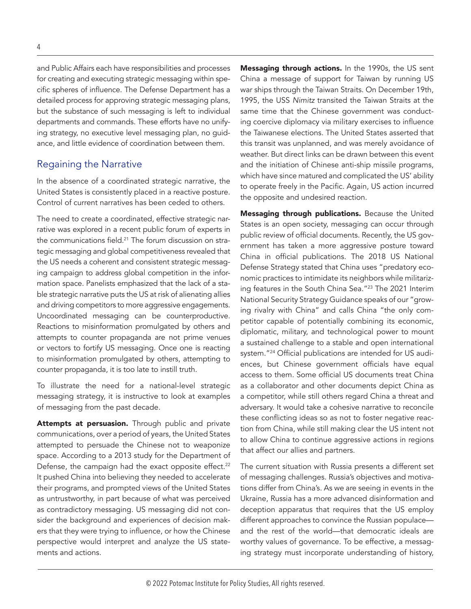<span id="page-3-0"></span>and Public Affairs each have responsibilities and processes for creating and executing strategic messaging within specific spheres of influence. The Defense Department has a detailed process for approving strategic messaging plans, but the substance of such messaging is left to individual departments and commands. These efforts have no unifying strategy, no executive level messaging plan, no guidance, and little evidence of coordination between them.

#### Regaining the Narrative

In the absence of a coordinated strategic narrative, the United States is consistently placed in a reactive posture. Control of current narratives has been ceded to others.

The need to create a coordinated, effective strategic narrative was explored in a recent public forum of experts in the communications field.<sup>21</sup> The forum discussion on strategic messaging and global competitiveness revealed that the US needs a coherent and consistent strategic messaging campaign to address global competition in the information space. Panelists emphasized that the lack of a stable strategic narrative puts the US at risk of alienating allies and driving competitors to more aggressive engagements. Uncoordinated messaging can be counterproductive. Reactions to misinformation promulgated by others and attempts to counter propaganda are not prime venues or vectors to fortify US messaging. Once one is reacting to misinformation promulgated by others, attempting to counter propaganda, it is too late to instill truth.

To illustrate the need for a national-level strategic messaging strategy, it is instructive to look at examples of messaging from the past decade.

Attempts at persuasion. Through public and private communications, over a period of years, the United States attempted to persuade the Chinese not to weaponize space. According to a 2013 study for the Department of Defense, the campaign had the exact opposite effect.<sup>22</sup> It pushed China into believing they needed to accelerate their programs, and prompted views of the United States as untrustworthy, in part because of what was perceived as contradictory messaging. US messaging did not consider the background and experiences of decision makers that they were trying to influence, or how the Chinese perspective would interpret and analyze the US statements and actions.

Messaging through actions. In the 1990s, the US sent China a message of support for Taiwan by running US war ships through the Taiwan Straits. On December 19th, 1995, the USS *Nimitz* transited the Taiwan Straits at the same time that the Chinese government was conducting coercive diplomacy via military exercises to influence the Taiwanese elections. The United States asserted that this transit was unplanned, and was merely avoidance of weather. But direct links can be drawn between this event and the initiation of Chinese anti-ship missile programs, which have since matured and complicated the US' ability to operate freely in the Pacific. Again, US action incurred the opposite and undesired reaction.

Messaging through publications. Because the United States is an open society, messaging can occur through public review of official documents. Recently, the US government has taken a more aggressive posture toward China in official publications. The 2018 US National Defense Strategy stated that China uses "predatory economic practices to intimidate its neighbors while militarizing features in the South China Sea.["23](#page-7-0) The 2021 Interim National Security Strategy Guidance speaks of our "growing rivalry with China" and calls China "the only competitor capable of potentially combining its economic, diplomatic, military, and technological power to mount a sustained challenge to a stable and open international system.["24](#page-7-0) Official publications are intended for US audiences, but Chinese government officials have equal access to them. Some official US documents treat China as a collaborator and other documents depict China as a competitor, while still others regard China a threat and adversary. It would take a cohesive narrative to reconcile these conflicting ideas so as not to foster negative reaction from China, while still making clear the US intent not to allow China to continue aggressive actions in regions that affect our allies and partners.

The current situation with Russia presents a different set of messaging challenges. Russia's objectives and motivations differ from China's. As we are seeing in events in the Ukraine, Russia has a more advanced disinformation and deception apparatus that requires that the US employ different approaches to convince the Russian populace and the rest of the world—that democratic ideals are worthy values of governance. To be effective, a messaging strategy must incorporate understanding of history,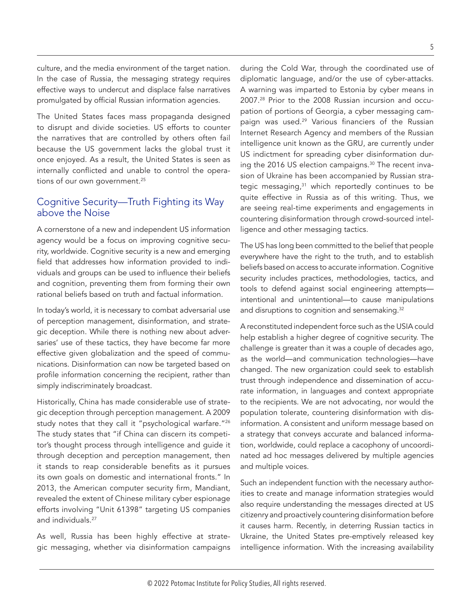<span id="page-4-0"></span>culture, and the media environment of the target nation. In the case of Russia, the messaging strategy requires effective ways to undercut and displace false narratives promulgated by official Russian information agencies.

The United States faces mass propaganda designed to disrupt and divide societies. US efforts to counter the narratives that are controlled by others often fail because the US government lacks the global trust it once enjoyed. As a result, the United States is seen as internally conflicted and unable to control the operations of our own government.[25](#page-7-0)

# Cognitive Security—Truth Fighting its Way above the Noise

A cornerstone of a new and independent US information agency would be a focus on improving cognitive security, worldwide. Cognitive security is a new and emerging field that addresses how information provided to individuals and groups can be used to influence their beliefs and cognition, preventing them from forming their own rational beliefs based on truth and factual information.

In today's world, it is necessary to combat adversarial use of perception management, disinformation, and strategic deception. While there is nothing new about adversaries' use of these tactics, they have become far more effective given globalization and the speed of communications. Disinformation can now be targeted based on profile information concerning the recipient, rather than simply indiscriminately broadcast.

Historically, China has made considerable use of strategic deception through perception management. A 2009 study notes that they call it "psychological warfare."<sup>[26](#page-7-0)</sup> The study states that "if China can discern its competitor's thought process through intelligence and guide it through deception and perception management, then it stands to reap considerable benefits as it pursues its own goals on domestic and international fronts." In 2013, the American computer security firm, Mandiant, revealed the extent of Chinese military cyber espionage efforts involving "Unit 61398" targeting US companies and individuals.<sup>27</sup>

As well, Russia has been highly effective at strategic messaging, whether via disinformation campaigns during the Cold War, through the coordinated use of diplomatic language, and/or the use of cyber-attacks. A warning was imparted to Estonia by cyber means in 2007.[28](#page-7-0) Prior to the 2008 Russian incursion and occupation of portions of Georgia, a cyber messaging cam-paign was used.<sup>[29](#page-7-0)</sup> Various financiers of the Russian Internet Research Agency and members of the Russian intelligence unit known as the GRU, are currently under US indictment for spreading cyber disinformation dur-ing the 2016 US election campaigns.<sup>[30](#page-7-0)</sup> The recent invasion of Ukraine has been accompanied by Russian strategic messaging, $31$  which reportedly continues to be quite effective in Russia as of this writing. Thus, we are seeing real-time experiments and engagements in countering disinformation through crowd-sourced intelligence and other messaging tactics.

The US has long been committed to the belief that people everywhere have the right to the truth, and to establish beliefs based on access to accurate information. Cognitive security includes practices, methodologies, tactics, and tools to defend against social engineering attempts intentional and unintentional—to cause manipulations and disruptions to cognition and sensemaking.<sup>32</sup>

A reconstituted independent force such as the USIA could help establish a higher degree of cognitive security. The challenge is greater than it was a couple of decades ago, as the world—and communication technologies—have changed. The new organization could seek to establish trust through independence and dissemination of accurate information, in languages and context appropriate to the recipients. We are not advocating, nor would the population tolerate, countering disinformation with disinformation. A consistent and uniform message based on a strategy that conveys accurate and balanced information, worldwide, could replace a cacophony of uncoordinated ad hoc messages delivered by multiple agencies and multiple voices.

Such an independent function with the necessary authorities to create and manage information strategies would also require understanding the messages directed at US citizenry and proactively countering disinformation before it causes harm. Recently, in deterring Russian tactics in Ukraine, the United States pre-emptively released key intelligence information. With the increasing availability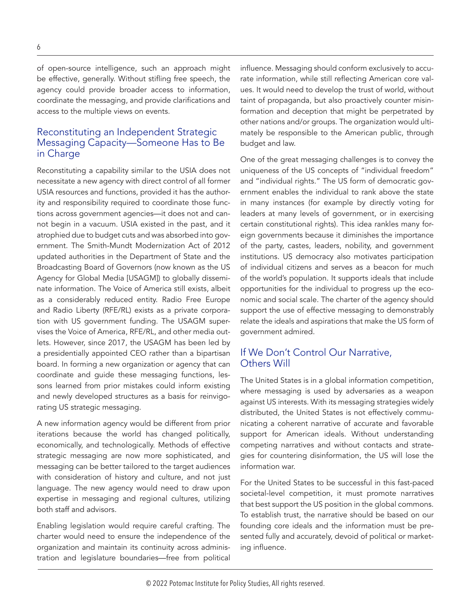of open-source intelligence, such an approach might be effective, generally. Without stifling free speech, the agency could provide broader access to information, coordinate the messaging, and provide clarifications and access to the multiple views on events.

## Reconstituting an Independent Strategic Messaging Capacity—Someone Has to Be in Charge

Reconstituting a capability similar to the USIA does not necessitate a new agency with direct control of all former USIA resources and functions, provided it has the authority and responsibility required to coordinate those functions across government agencies—it does not and cannot begin in a vacuum. USIA existed in the past, and it atrophied due to budget cuts and was absorbed into government. The Smith-Mundt Modernization Act of 2012 updated authorities in the Department of State and the Broadcasting Board of Governors (now known as the US Agency for Global Media [USAGM]) to globally disseminate information. The Voice of America still exists, albeit as a considerably reduced entity. Radio Free Europe and Radio Liberty (RFE/RL) exists as a private corporation with US government funding. The USAGM supervises the Voice of America, RFE/RL, and other media outlets. However, since 2017, the USAGM has been led by a presidentially appointed CEO rather than a bipartisan board. In forming a new organization or agency that can coordinate and guide these messaging functions, lessons learned from prior mistakes could inform existing and newly developed structures as a basis for reinvigorating US strategic messaging.

A new information agency would be different from prior iterations because the world has changed politically, economically, and technologically. Methods of effective strategic messaging are now more sophisticated, and messaging can be better tailored to the target audiences with consideration of history and culture, and not just language. The new agency would need to draw upon expertise in messaging and regional cultures, utilizing both staff and advisors.

Enabling legislation would require careful crafting. The charter would need to ensure the independence of the organization and maintain its continuity across administration and legislature boundaries—free from political influence. Messaging should conform exclusively to accurate information, while still reflecting American core values. It would need to develop the trust of world, without taint of propaganda, but also proactively counter misinformation and deception that might be perpetrated by other nations and/or groups. The organization would ultimately be responsible to the American public, through budget and law.

One of the great messaging challenges is to convey the uniqueness of the US concepts of "individual freedom" and "individual rights." The US form of democratic government enables the individual to rank above the state in many instances (for example by directly voting for leaders at many levels of government, or in exercising certain constitutional rights). This idea rankles many foreign governments because it diminishes the importance of the party, castes, leaders, nobility, and government institutions. US democracy also motivates participation of individual citizens and serves as a beacon for much of the world's population. It supports ideals that include opportunities for the individual to progress up the economic and social scale. The charter of the agency should support the use of effective messaging to demonstrably relate the ideals and aspirations that make the US form of government admired.

## If We Don't Control Our Narrative, Others Will

The United States is in a global information competition, where messaging is used by adversaries as a weapon against US interests. With its messaging strategies widely distributed, the United States is not effectively communicating a coherent narrative of accurate and favorable support for American ideals. Without understanding competing narratives and without contacts and strategies for countering disinformation, the US will lose the information war.

For the United States to be successful in this fast-paced societal-level competition, it must promote narratives that best support the US position in the global commons. To establish trust, the narrative should be based on our founding core ideals and the information must be presented fully and accurately, devoid of political or marketing influence.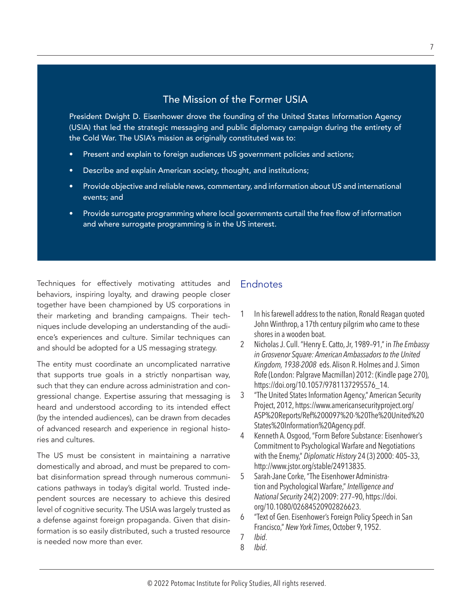# The Mission of the Former USIA

<span id="page-6-0"></span>President Dwight D. Eisenhower drove the founding of the United States Information Agency (USIA) that led the strategic messaging and public diplomacy campaign during the entirety of the Cold War. The USIA's mission as originally constituted was to:

- Present and explain to foreign audiences US government policies and actions;
- Describe and explain American society, thought, and institutions;
- Provide objective and reliable news, commentary, and information about US and international events; and
- Provide surrogate programming where local governments curtail the free flow of information and where surrogate programming is in the US interest.

Techniques for effectively motivating attitudes and behaviors, inspiring loyalty, and drawing people closer together have been championed by US corporations in their marketing and branding campaigns. Their techniques include developing an understanding of the audience's experiences and culture. Similar techniques can and should be adopted for a US messaging strategy.

The entity must coordinate an uncomplicated narrative that supports true goals in a strictly nonpartisan way, such that they can endure across administration and congressional change. Expertise assuring that messaging is heard and understood according to its intended effect (by the intended audiences), can be drawn from decades of advanced research and experience in regional histories and cultures.

The US must be consistent in maintaining a narrative domestically and abroad, and must be prepared to combat disinformation spread through numerous communications pathways in today's digital world. Trusted independent sources are necessary to achieve this desired level of cognitive security. The USIA was largely trusted as a defense against foreign propaganda. Given that disinformation is so easily distributed, such a trusted resource is needed now more than ever.

# **Endnotes**

- [1](#page-0-0) In his farewell address to the nation, Ronald Reagan quoted John Winthrop, a 17th century pilgrim who came to these shores in a wooden boat.
- [2](#page-0-0) Nicholas J. Cull. "Henry E. Catto, Jr, 1989–91," in *The Embassy in Grosvenor Square: American Ambassadors to the United Kingdom, 1938-2008* eds. Alison R. Holmes and J. Simon Rofe (London: Palgrave Macmillan) 2012: (Kindle page 270), [https://doi.org/10.1057/9781137295576\\_14.](https://doi.org/10.1057/9781137295576_14)
- [3](#page-1-0) "The United States Information Agency," American Security Project, 2012, [https://www.americansecurityproject.org/](https://www.americansecurityproject.org/ASP%20Reports/Ref%200097%20-%20The%20United%20States%20Information%20Agency.pdf) [ASP%20Reports/Ref%200097%20-%20The%20United%20](https://www.americansecurityproject.org/ASP%20Reports/Ref%200097%20-%20The%20United%20States%20Information%20Agency.pdf) [States%20Information%20Agency.pdf.](https://www.americansecurityproject.org/ASP%20Reports/Ref%200097%20-%20The%20United%20States%20Information%20Agency.pdf)
- [4](#page-1-0) Kenneth A. Osgood, "Form Before Substance: Eisenhower's Commitment to Psychological Warfare and Negotiations with the Enemy," *Diplomatic History* 24 (3) 2000: 405–33, <http://www.jstor.org/stable/24913835>.
- [5](#page-1-0) Sarah-Jane Corke, "The Eisenhower Administration and Psychological Warfare," *Intelligence and National Security* 24(2) 2009: 277–90, [https://doi.](https://doi.org/10.1080/02684520902826623) [org/10.1080/02684520902826623](https://doi.org/10.1080/02684520902826623).
- [6](#page-1-0) "Text of Gen. Eisenhower's Foreign Policy Speech in San Francisco," *New York Times*, October 9, 1952.
- [7](#page-1-0) *Ibid*.
- [8](#page-1-0) *Ibid*.